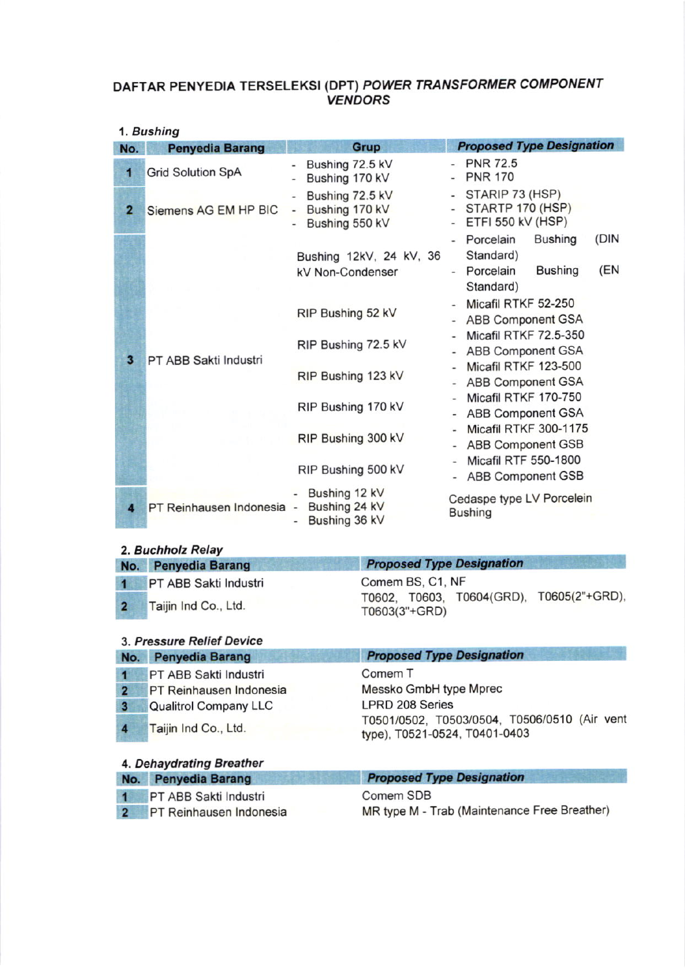#### OAFTAR PENYEDIA TERSELEKSI (DPT) POWER TRANSFORMER COMPONENT YENDORS

|  | 1. Bushing |
|--|------------|
|--|------------|

| No.            | <b>Penyedia Barang</b>                           | <b>Grup</b>                                                                                                 | <b>Proposed Type Designation</b>                                                                                                      |
|----------------|--------------------------------------------------|-------------------------------------------------------------------------------------------------------------|---------------------------------------------------------------------------------------------------------------------------------------|
| 1              | <b>Grid Solution SpA</b>                         | Bushing 72.5 kV<br>Bushing 170 kV<br>-                                                                      | - PNR 72.5<br><b>PNR 170</b>                                                                                                          |
| $\overline{2}$ | Siemens AG EM HP BIC                             | Bushing 72.5 kV<br>Bushing 170 kV<br>$\overline{\phantom{a}}$<br>Bushing 550 kV<br>$\overline{\phantom{0}}$ | - STARIP 73 (HSP)<br>STARTP 170 (HSP)<br>$\blacksquare$<br>ETFI 550 kV (HSP)<br>$\overline{a}$<br>(DIN<br>Porcelain<br><b>Bushing</b> |
|                |                                                  | Bushing 12kV, 24 kV, 36<br>kV Non-Condenser                                                                 | Standard)<br>(EN<br>- Porcelain<br><b>Bushing</b><br>Standard)                                                                        |
|                |                                                  | RIP Bushing 52 kV                                                                                           | Micafil RTKF 52-250<br><b>ABB Component GSA</b>                                                                                       |
|                | $\overline{\mathbf{3}}$<br>PT ABB Sakti Industri | RIP Bushing 72.5 kV                                                                                         | Micafil RTKF 72.5-350<br>ABB Component GSA                                                                                            |
|                |                                                  | RIP Bushing 123 kV                                                                                          | Micafil RTKF 123-500<br><b>ABB Component GSA</b>                                                                                      |
|                |                                                  | RIP Bushing 170 kV                                                                                          | Micafil RTKF 170-750<br><b>ABB Component GSA</b>                                                                                      |
|                |                                                  | RIP Bushing 300 kV                                                                                          | Micafil RTKF 300-1175<br><b>ABB Component GSB</b>                                                                                     |
|                |                                                  | RIP Bushing 500 kV                                                                                          | <b>Micafil RTF 550-1800</b><br><b>ABB Component GSB</b>                                                                               |
| 4              | PT Reinhausen Indonesia -                        | Bushing 12 kV<br>Bushing 24 kV<br>Bushing 36 kV                                                             | Cedaspe type LV Porcelein<br><b>Bushing</b>                                                                                           |

## 2, Buchholz Relay

| No. Penyedia Barang     | <b>Proposed Type Designation</b>                          |
|-------------------------|-----------------------------------------------------------|
| 1 PT ABB Sakti Industri | Comem BS, C1, NF                                          |
| 2 Taijin Ind Co., Ltd.  | T0602, T0603, T0604(GRD), T0605(2"+GRD),<br>T0603(3"+GRD) |

|                         | 3. Pressure Relief Device    |                                                                               |
|-------------------------|------------------------------|-------------------------------------------------------------------------------|
| No.                     | <b>Penyedia Barang</b>       | <b>Proposed Type Designation</b>                                              |
|                         | PT ABB Sakti Industri        | Comem <sub>T</sub>                                                            |
| $\overline{2}$          | PT Reinhausen Indonesia      | Messko GmbH type Mprec                                                        |
| $\overline{\mathbf{3}}$ | <b>Qualitrol Company LLC</b> | <b>LPRD 208 Series</b>                                                        |
| $\overline{\mathbf{4}}$ | Taijin Ind Co., Ltd.         | T0501/0502, T0503/0504, T0506/0510 (Air vent<br>type), T0521-0524, T0401-0403 |
|                         | 4. Dehaydrating Breather     |                                                                               |
| No.                     | <b>Penyedia Barang</b>       | <b>Proposed Type Designation</b>                                              |

| No. Penyedia Barang       | <b>Proposed Type Designation</b>             |
|---------------------------|----------------------------------------------|
| 1 PT ABB Sakti Industri   | Comem SDB                                    |
| 2 PT Reinhausen Indonesia | MR type M - Trab (Maintenance Free Breather) |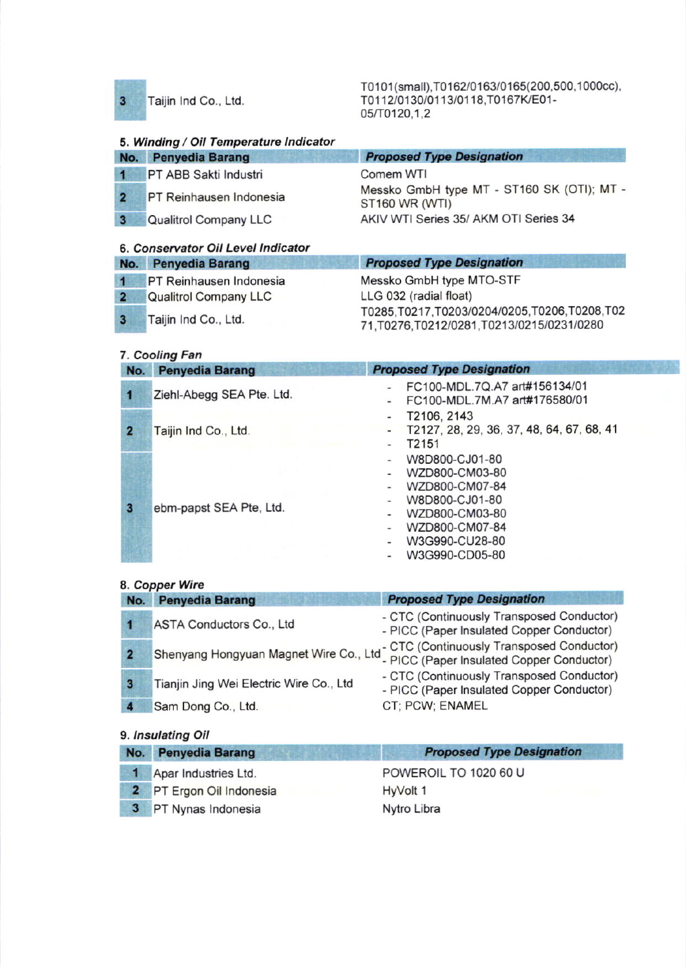$\overline{\mathbf{3}}$ 

Taijin Ind Co., Ltd.

T0101(small),T0162/0163/0165(200,500,1000cc), T0112/0130/0113/0118,T0167K/E01-05/T0120.1.2

# 5. Winding / Oil Temperature Indicator

| No.          | <b>Penyedia Barang</b>         | <b>Proposed Type Designation</b>                             |
|--------------|--------------------------------|--------------------------------------------------------------|
|              | 1 PT ABB Sakti Industri        | Comem WTI                                                    |
|              | <b>PT Reinhausen Indonesia</b> | Messko GmbH type MT - ST160 SK (OTI); MT -<br>ST160 WR (WTI) |
| $\mathbf{3}$ | <b>Qualitrol Company LLC</b>   | AKIV WTI Series 35/ AKM OTI Series 34                        |
|              |                                |                                                              |

#### 6. Conservator Oil Level Indicator

| No. Penyedia Barang       | <b>Proposed Type Designation</b>                                                           |
|---------------------------|--------------------------------------------------------------------------------------------|
| 1 PT Reinhausen Indonesia | Messko GmbH type MTO-STF                                                                   |
| 2 Qualitrol Company LLC   | LLG 032 (radial float)                                                                     |
| 3 Taijin Ind Co., Ltd.    | T0285,T0217,T0203/0204/0205,T0206,T0208,T02<br>71, T0276, T0212/0281, T0213/0215/0231/0280 |

#### 7. Cooling Fan

| No. | <b>Penyedia Barang</b>    | <b>Proposed Type Designation</b>                                                                                                                            |
|-----|---------------------------|-------------------------------------------------------------------------------------------------------------------------------------------------------------|
|     | Ziehl-Abegg SEA Pte. Ltd. | FC100-MDL.7Q.A7 art#156134/01<br>FC100-MDL.7M.A7 art#176580/01<br>$\overline{\phantom{0}}$                                                                  |
| 2   | Taijin Ind Co., Ltd.      | T2106, 2143<br>T2127, 28, 29, 36, 37, 48, 64, 67, 68, 41<br>T2151                                                                                           |
| з   | ebm-papst SEA Pte, Ltd.   | W8D800-CJ01-80<br>WZD800-CM03-80<br>WZD800-CM07-84<br>W8D800-CJ01-80<br>WZD800-CM03-80<br>۰<br>WZD800-CM07-84<br>-<br>W3G990-CU28-80<br>٠<br>W3G990-CD05-80 |

#### 8, Copper Wire

| No. | <b>Penyedia Barang</b>                  | <b>Proposed Type Designation</b>                                                                                                       |
|-----|-----------------------------------------|----------------------------------------------------------------------------------------------------------------------------------------|
|     | ASTA Conductors Co., Ltd                | - CTC (Continuously Transposed Conductor)<br>- PICC (Paper Insulated Copper Conductor)                                                 |
|     |                                         | Shenyang Hongyuan Magnet Wire Co., Ltd <sup>-</sup> CTC (Continuously Transposed Conductor)<br>PICC (Paper Insulated Copper Conductor) |
|     | Tianjin Jing Wei Electric Wire Co., Ltd | - CTC (Continuously Transposed Conductor)<br>- PICC (Paper Insulated Copper Conductor)                                                 |
|     | Sam Dong Co., Ltd.                      | CT; PCW; ENAMEL                                                                                                                        |

#### 9. Insulating Oil

| No. Penyedia Barang      | <b>Proposed Type Designation</b> |
|--------------------------|----------------------------------|
| 1 Apar Industries Ltd.   | POWEROIL TO 1020 60 U            |
| 2 PT Ergon Oil Indonesia | HyVolt 1                         |
| 3 PT Nynas Indonesia     | Nytro Libra                      |